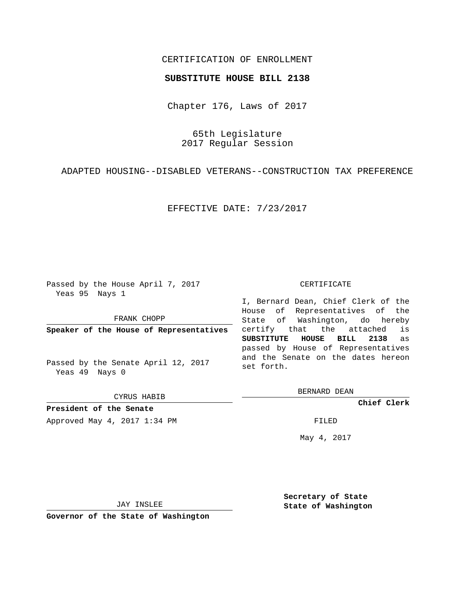## CERTIFICATION OF ENROLLMENT

## **SUBSTITUTE HOUSE BILL 2138**

Chapter 176, Laws of 2017

65th Legislature 2017 Regular Session

ADAPTED HOUSING--DISABLED VETERANS--CONSTRUCTION TAX PREFERENCE

EFFECTIVE DATE: 7/23/2017

Passed by the House April 7, 2017 Yeas 95 Nays 1

FRANK CHOPP

**Speaker of the House of Representatives**

Passed by the Senate April 12, 2017 Yeas 49 Nays 0

CYRUS HABIB

**President of the Senate**

Approved May 4, 2017 1:34 PM FILED

## CERTIFICATE

I, Bernard Dean, Chief Clerk of the House of Representatives of the State of Washington, do hereby certify that the attached is **SUBSTITUTE HOUSE BILL 2138** as passed by House of Representatives and the Senate on the dates hereon set forth.

BERNARD DEAN

**Chief Clerk**

May 4, 2017

JAY INSLEE

**Governor of the State of Washington**

**Secretary of State State of Washington**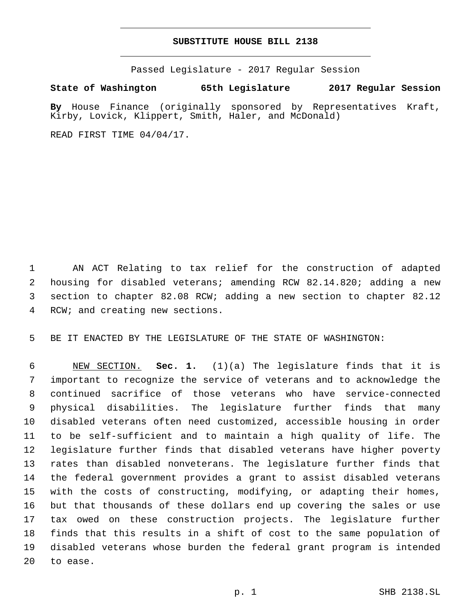## **SUBSTITUTE HOUSE BILL 2138**

Passed Legislature - 2017 Regular Session

**State of Washington 65th Legislature 2017 Regular Session**

**By** House Finance (originally sponsored by Representatives Kraft, Kirby, Lovick, Klippert, Smith, Haler, and McDonald)

READ FIRST TIME 04/04/17.

 AN ACT Relating to tax relief for the construction of adapted housing for disabled veterans; amending RCW 82.14.820; adding a new section to chapter 82.08 RCW; adding a new section to chapter 82.12 4 RCW; and creating new sections.

BE IT ENACTED BY THE LEGISLATURE OF THE STATE OF WASHINGTON:

 NEW SECTION. **Sec. 1.** (1)(a) The legislature finds that it is important to recognize the service of veterans and to acknowledge the continued sacrifice of those veterans who have service-connected physical disabilities. The legislature further finds that many disabled veterans often need customized, accessible housing in order to be self-sufficient and to maintain a high quality of life. The legislature further finds that disabled veterans have higher poverty rates than disabled nonveterans. The legislature further finds that the federal government provides a grant to assist disabled veterans with the costs of constructing, modifying, or adapting their homes, but that thousands of these dollars end up covering the sales or use tax owed on these construction projects. The legislature further finds that this results in a shift of cost to the same population of disabled veterans whose burden the federal grant program is intended to ease.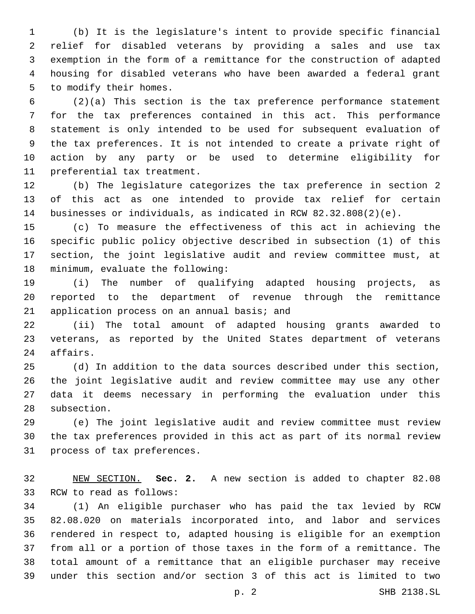(b) It is the legislature's intent to provide specific financial relief for disabled veterans by providing a sales and use tax exemption in the form of a remittance for the construction of adapted housing for disabled veterans who have been awarded a federal grant 5 to modify their homes.

 (2)(a) This section is the tax preference performance statement for the tax preferences contained in this act. This performance statement is only intended to be used for subsequent evaluation of the tax preferences. It is not intended to create a private right of action by any party or be used to determine eligibility for 11 preferential tax treatment.

 (b) The legislature categorizes the tax preference in section 2 of this act as one intended to provide tax relief for certain businesses or individuals, as indicated in RCW 82.32.808(2)(e).

 (c) To measure the effectiveness of this act in achieving the specific public policy objective described in subsection (1) of this section, the joint legislative audit and review committee must, at 18 minimum, evaluate the following:

 (i) The number of qualifying adapted housing projects, as reported to the department of revenue through the remittance 21 application process on an annual basis; and

 (ii) The total amount of adapted housing grants awarded to veterans, as reported by the United States department of veterans 24 affairs.

 (d) In addition to the data sources described under this section, the joint legislative audit and review committee may use any other data it deems necessary in performing the evaluation under this 28 subsection.

 (e) The joint legislative audit and review committee must review the tax preferences provided in this act as part of its normal review 31 process of tax preferences.

 NEW SECTION. **Sec. 2.** A new section is added to chapter 82.08 33 RCW to read as follows:

 (1) An eligible purchaser who has paid the tax levied by RCW 82.08.020 on materials incorporated into, and labor and services rendered in respect to, adapted housing is eligible for an exemption from all or a portion of those taxes in the form of a remittance. The total amount of a remittance that an eligible purchaser may receive under this section and/or section 3 of this act is limited to two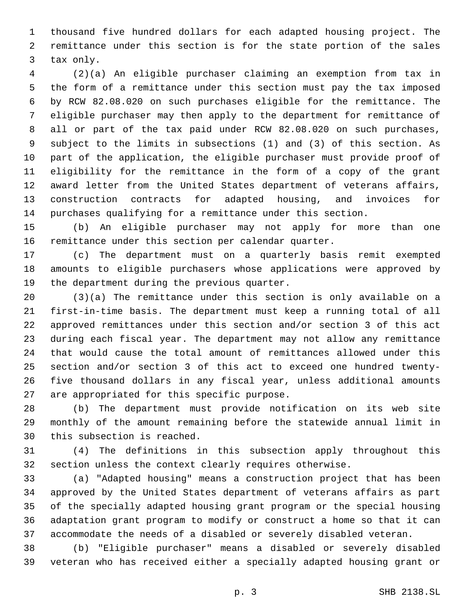thousand five hundred dollars for each adapted housing project. The remittance under this section is for the state portion of the sales 3 tax only.

 (2)(a) An eligible purchaser claiming an exemption from tax in the form of a remittance under this section must pay the tax imposed by RCW 82.08.020 on such purchases eligible for the remittance. The eligible purchaser may then apply to the department for remittance of all or part of the tax paid under RCW 82.08.020 on such purchases, subject to the limits in subsections (1) and (3) of this section. As part of the application, the eligible purchaser must provide proof of eligibility for the remittance in the form of a copy of the grant award letter from the United States department of veterans affairs, construction contracts for adapted housing, and invoices for purchases qualifying for a remittance under this section.

 (b) An eligible purchaser may not apply for more than one remittance under this section per calendar quarter.

 (c) The department must on a quarterly basis remit exempted amounts to eligible purchasers whose applications were approved by 19 the department during the previous quarter.

 (3)(a) The remittance under this section is only available on a first-in-time basis. The department must keep a running total of all approved remittances under this section and/or section 3 of this act during each fiscal year. The department may not allow any remittance that would cause the total amount of remittances allowed under this section and/or section 3 of this act to exceed one hundred twenty- five thousand dollars in any fiscal year, unless additional amounts 27 are appropriated for this specific purpose.

 (b) The department must provide notification on its web site monthly of the amount remaining before the statewide annual limit in 30 this subsection is reached.

 (4) The definitions in this subsection apply throughout this section unless the context clearly requires otherwise.

 (a) "Adapted housing" means a construction project that has been approved by the United States department of veterans affairs as part of the specially adapted housing grant program or the special housing adaptation grant program to modify or construct a home so that it can accommodate the needs of a disabled or severely disabled veteran.

 (b) "Eligible purchaser" means a disabled or severely disabled veteran who has received either a specially adapted housing grant or